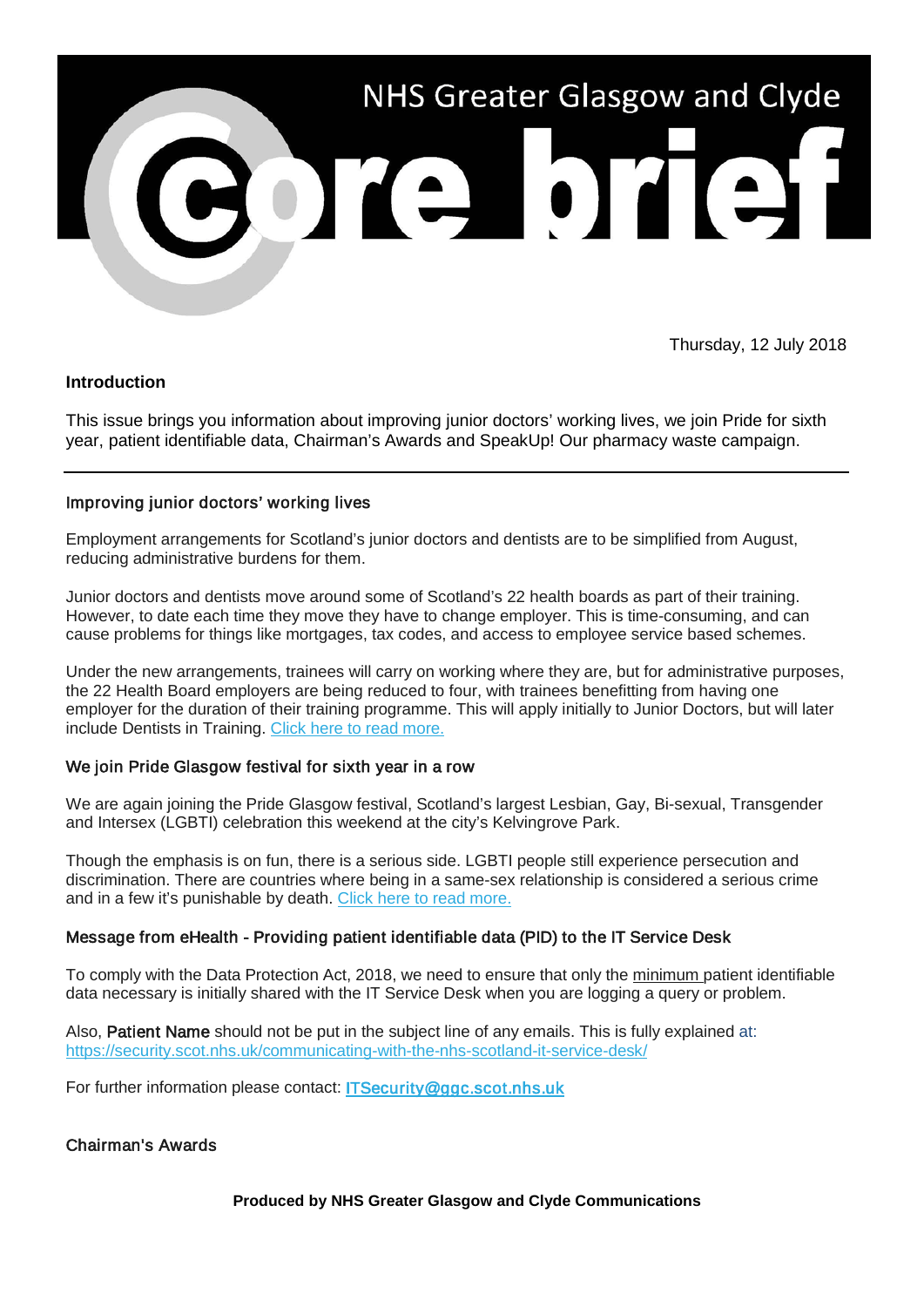

Thursday, 12 July 2018

## **Introduction**

This issue brings you information about improving junior doctors' working lives, we join Pride for sixth year, patient identifiable data, Chairman's Awards and SpeakUp! Our pharmacy waste campaign.

## Improving junior doctors' working lives

Employment arrangements for Scotland's junior doctors and dentists are to be simplified from August, reducing administrative burdens for them.

Junior doctors and dentists move around some of Scotland's 22 health boards as part of their training. However, to date each time they move they have to change employer. This is time-consuming, and can cause problems for things like mortgages, tax codes, and access to employee service based schemes.

Under the new arrangements, trainees will carry on working where they are, but for administrative purposes, the 22 Health Board employers are being reduced to four, with trainees benefitting from having one employer for the duration of their training programme. This will apply initially to Junior Doctors, but will later include Dentists in Training. [Click here to read more.](https://nhsggc.us12.list-manage.com/track/click?u=0f385b5aea37eaf0213bd19fb&id=f428378799&e=5af5e1832c)

### We join Pride Glasgow festival for sixth year in a row

We are again joining the Pride Glasgow festival, Scotland's largest Lesbian, Gay, Bi-sexual, Transgender and Intersex (LGBTI) celebration this weekend at the city's Kelvingrove Park.

Though the emphasis is on fun, there is a serious side. LGBTI people still experience persecution and discrimination. There are countries where being in a same-sex relationship is considered a serious crime and in a few it's punishable by death. [Click here to read more.](https://nhsggc.us12.list-manage.com/track/click?u=0f385b5aea37eaf0213bd19fb&id=2bb4bdd86d&e=5af5e1832c)

# Message from eHealth - Providing patient identifiable data (PID) to the IT Service Desk

To comply with the Data Protection Act, 2018, we need to ensure that only the minimum patient identifiable data necessary is initially shared with the IT Service Desk when you are logging a query or problem.

Also, **Patient Name** should not be put in the subject line of any emails. This is fully explained at: [https://security.scot.nhs.uk/communicating-with-the-nhs-scotland-it-service-desk/](https://nhsggc.us12.list-manage.com/track/click?u=0f385b5aea37eaf0213bd19fb&id=fbe87d7a3b&e=5af5e1832c)

For further information please contact: [ITSecurity@ggc.scot.nhs.uk](mailto:ITSecurity@ggc.scot.nhs.uk?subject=PID)

# Chairman's Awards